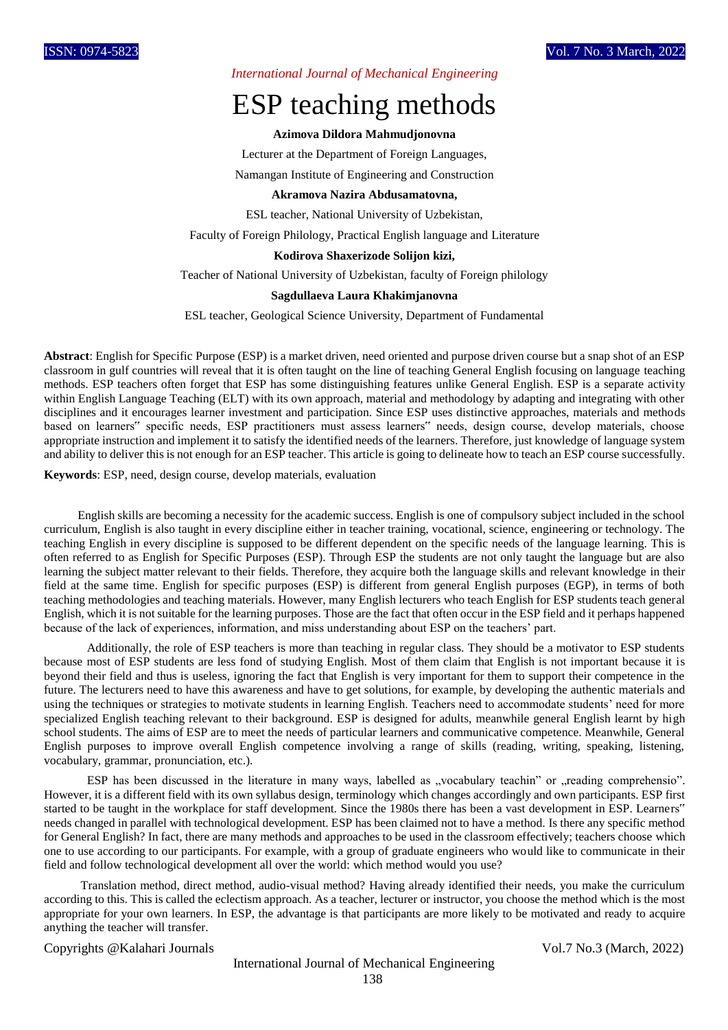*International Journal of Mechanical Engineering*

# ESP teaching methods

#### **Azimova Dildora Mahmudjonovna**

Lecturer at the Department of Foreign Languages,

Namangan Institute of Engineering and Construction

## **Akramova Nazira Abdusamatovna,**

ESL teacher, National University of Uzbekistan,

Faculty of Foreign Philology, Practical English language and Literature

## **Kodirova Shaxerizode Solijon kizi,**

Teacher of National University of Uzbekistan, faculty of Foreign philology

### **Sagdullaeva Laura Khakimjanovna**

ESL teacher, Geological Science University, Department of Fundamental

**Abstract**: English for Specific Purpose (ESP) is a market driven, need oriented and purpose driven course but a snap shot of an ESP classroom in gulf countries will reveal that it is often taught on the line of teaching General English focusing on language teaching methods. ESP teachers often forget that ESP has some distinguishing features unlike General English. ESP is a separate activity within English Language Teaching (ELT) with its own approach, material and methodology by adapting and integrating with other disciplines and it encourages learner investment and participation. Since ESP uses distinctive approaches, materials and methods based on learners" specific needs, ESP practitioners must assess learners" needs, design course, develop materials, choose appropriate instruction and implement it to satisfy the identified needs of the learners. Therefore, just knowledge of language system and ability to deliver this is not enough for an ESP teacher. This article is going to delineate how to teach an ESP course successfully.

**Keywords**: ESP, need, design course, develop materials, evaluation

 English skills are becoming a necessity for the academic success. English is one of compulsory subject included in the school curriculum, English is also taught in every discipline either in teacher training, vocational, science, engineering or technology. The teaching English in every discipline is supposed to be different dependent on the specific needs of the language learning. This is often referred to as English for Specific Purposes (ESP). Through ESP the students are not only taught the language but are also learning the subject matter relevant to their fields. Therefore, they acquire both the language skills and relevant knowledge in their field at the same time. English for specific purposes (ESP) is different from general English purposes (EGP), in terms of both teaching methodologies and teaching materials. However, many English lecturers who teach English for ESP students teach general English, which it is not suitable for the learning purposes. Those are the fact that often occur in the ESP field and it perhaps happened because of the lack of experiences, information, and miss understanding about ESP on the teachers' part.

 Additionally, the role of ESP teachers is more than teaching in regular class. They should be a motivator to ESP students because most of ESP students are less fond of studying English. Most of them claim that English is not important because it is beyond their field and thus is useless, ignoring the fact that English is very important for them to support their competence in the future. The lecturers need to have this awareness and have to get solutions, for example, by developing the authentic materials and using the techniques or strategies to motivate students in learning English. Teachers need to accommodate students' need for more specialized English teaching relevant to their background. ESP is designed for adults, meanwhile general English learnt by high school students. The aims of ESP are to meet the needs of particular learners and communicative competence. Meanwhile, General English purposes to improve overall English competence involving a range of skills (reading, writing, speaking, listening, vocabulary, grammar, pronunciation, etc.).

ESP has been discussed in the literature in many ways, labelled as "vocabulary teachin" or "reading comprehensio". However, it is a different field with its own syllabus design, terminology which changes accordingly and own participants. ESP first started to be taught in the workplace for staff development. Since the 1980s there has been a vast development in ESP. Learners" needs changed in parallel with technological development. ESP has been claimed not to have a method. Is there any specific method for General English? In fact, there are many methods and approaches to be used in the classroom effectively; teachers choose which one to use according to our participants. For example, with a group of graduate engineers who would like to communicate in their field and follow technological development all over the world: which method would you use?

 Translation method, direct method, audio-visual method? Having already identified their needs, you make the curriculum according to this. This is called the eclectism approach. As a teacher, lecturer or instructor, you choose the method which is the most appropriate for your own learners. In ESP, the advantage is that participants are more likely to be motivated and ready to acquire anything the teacher will transfer.

Copyrights @Kalahari Journals Vol.7 No.3 (March, 2022)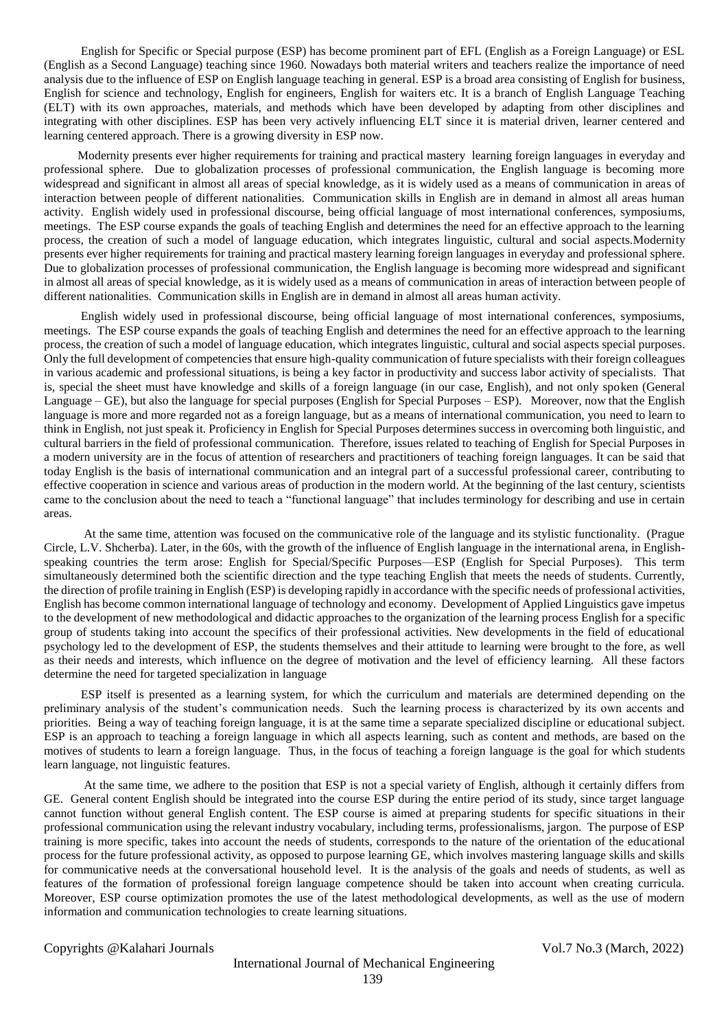English for Specific or Special purpose (ESP) has become prominent part of EFL (English as a Foreign Language) or ESL (English as a Second Language) teaching since 1960. Nowadays both material writers and teachers realize the importance of need analysis due to the influence of ESP on English language teaching in general. ESP is a broad area consisting of English for business, English for science and technology, English for engineers, English for waiters etc. It is a branch of English Language Teaching (ELT) with its own approaches, materials, and methods which have been developed by adapting from other disciplines and integrating with other disciplines. ESP has been very actively influencing ELT since it is material driven, learner centered and learning centered approach. There is a growing diversity in ESP now.

 Modernity presents ever higher requirements for training and practical mastery learning foreign languages in everyday and professional sphere. Due to globalization processes of professional communication, the English language is becoming more widespread and significant in almost all areas of special knowledge, as it is widely used as a means of communication in areas of interaction between people of different nationalities. Communication skills in English are in demand in almost all areas human activity. English widely used in professional discourse, being official language of most international conferences, symposiums, meetings. The ESP course expands the goals of teaching English and determines the need for an effective approach to the learning process, the creation of such a model of language education, which integrates linguistic, cultural and social aspects.Modernity presents ever higher requirements for training and practical mastery learning foreign languages in everyday and professional sphere. Due to globalization processes of professional communication, the English language is becoming more widespread and significant in almost all areas of special knowledge, as it is widely used as a means of communication in areas of interaction between people of different nationalities. Communication skills in English are in demand in almost all areas human activity.

 English widely used in professional discourse, being official language of most international conferences, symposiums, meetings. The ESP course expands the goals of teaching English and determines the need for an effective approach to the learning process, the creation of such a model of language education, which integrates linguistic, cultural and social aspects special purposes. Only the full development of competencies that ensure high-quality communication of future specialists with their foreign colleagues in various academic and professional situations, is being a key factor in productivity and success labor activity of specialists. That is, special the sheet must have knowledge and skills of a foreign language (in our case, English), and not only spoken (General Language – GE), but also the language for special purposes (English for Special Purposes – ESP). Moreover, now that the English language is more and more regarded not as a foreign language, but as a means of international communication, you need to learn to think in English, not just speak it. Proficiency in English for Special Purposes determines success in overcoming both linguistic, and cultural barriers in the field of professional communication. Therefore, issues related to teaching of English for Special Purposes in a modern university are in the focus of attention of researchers and practitioners of teaching foreign languages. It can be said that today English is the basis of international communication and an integral part of a successful professional career, contributing to effective cooperation in science and various areas of production in the modern world. At the beginning of the last century, scientists came to the conclusion about the need to teach a "functional language" that includes terminology for describing and use in certain areas.

 At the same time, attention was focused on the communicative role of the language and its stylistic functionality. (Prague Circle, L.V. Shcherba). Later, in the 60s, with the growth of the influence of English language in the international arena, in Englishspeaking countries the term arose: English for Special/Specific Purposes—ESP (English for Special Purposes). This term simultaneously determined both the scientific direction and the type teaching English that meets the needs of students. Currently, the direction of profile training in English (ESP) is developing rapidly in accordance with the specific needs of professional activities, English has become common international language of technology and economy. Development of Applied Linguistics gave impetus to the development of new methodological and didactic approaches to the organization of the learning process English for a specific group of students taking into account the specifics of their professional activities. New developments in the field of educational psychology led to the development of ESP, the students themselves and their attitude to learning were brought to the fore, as well as their needs and interests, which influence on the degree of motivation and the level of efficiency learning. All these factors determine the need for targeted specialization in language

 ESP itself is presented as a learning system, for which the curriculum and materials are determined depending on the preliminary analysis of the student's communication needs. Such the learning process is characterized by its own accents and priorities. Being a way of teaching foreign language, it is at the same time a separate specialized discipline or educational subject. ESP is an approach to teaching a foreign language in which all aspects learning, such as content and methods, are based on the motives of students to learn a foreign language. Thus, in the focus of teaching a foreign language is the goal for which students learn language, not linguistic features.

 At the same time, we adhere to the position that ESP is not a special variety of English, although it certainly differs from GE. General content English should be integrated into the course ESP during the entire period of its study, since target language cannot function without general English content. The ESP course is aimed at preparing students for specific situations in their professional communication using the relevant industry vocabulary, including terms, professionalisms, jargon. The purpose of ESP training is more specific, takes into account the needs of students, corresponds to the nature of the orientation of the educational process for the future professional activity, as opposed to purpose learning GE, which involves mastering language skills and skills for communicative needs at the conversational household level. It is the analysis of the goals and needs of students, as well as features of the formation of professional foreign language competence should be taken into account when creating curricula. Moreover, ESP course optimization promotes the use of the latest methodological developments, as well as the use of modern information and communication technologies to create learning situations.

Copyrights @Kalahari Journals Vol.7 No.3 (March, 2022)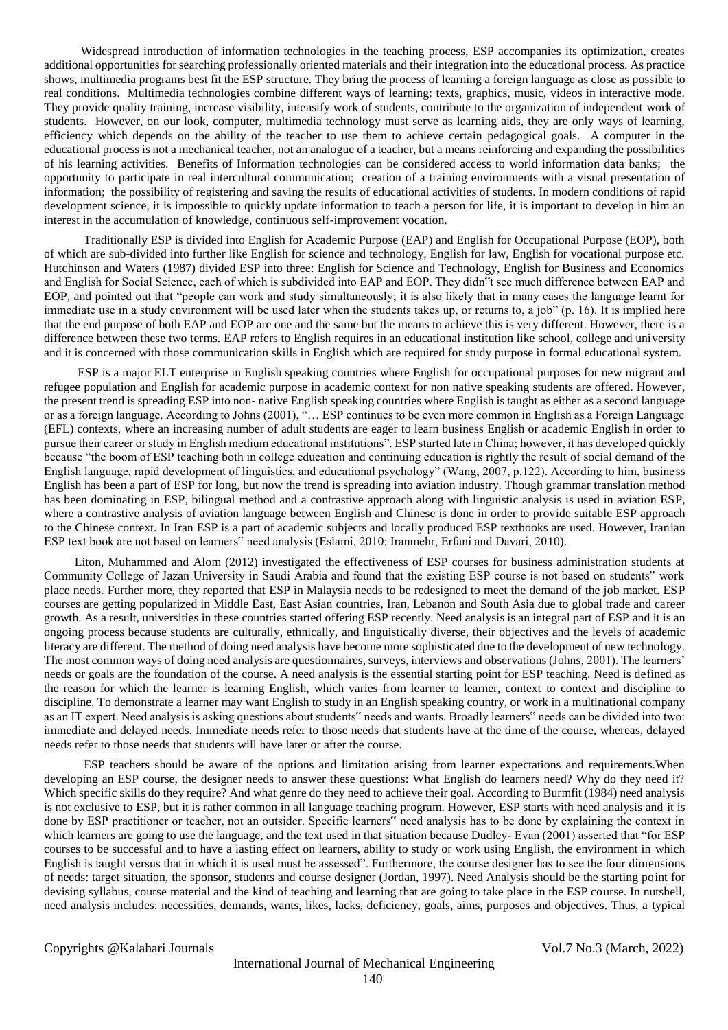Widespread introduction of information technologies in the teaching process, ESP accompanies its optimization, creates additional opportunities for searching professionally oriented materials and their integration into the educational process. As practice shows, multimedia programs best fit the ESP structure. They bring the process of learning a foreign language as close as possible to real conditions. Multimedia technologies combine different ways of learning: texts, graphics, music, videos in interactive mode. They provide quality training, increase visibility, intensify work of students, contribute to the organization of independent work of students. However, on our look, computer, multimedia technology must serve as learning aids, they are only ways of learning, efficiency which depends on the ability of the teacher to use them to achieve certain pedagogical goals. A computer in the educational process is not a mechanical teacher, not an analogue of a teacher, but a means reinforcing and expanding the possibilities of his learning activities. Benefits of Information technologies can be considered access to world information data banks; the opportunity to participate in real intercultural communication; creation of a training environments with a visual presentation of information; the possibility of registering and saving the results of educational activities of students. In modern conditions of rapid development science, it is impossible to quickly update information to teach a person for life, it is important to develop in him an interest in the accumulation of knowledge, continuous self-improvement vocation.

 Traditionally ESP is divided into English for Academic Purpose (EAP) and English for Occupational Purpose (EOP), both of which are sub-divided into further like English for science and technology, English for law, English for vocational purpose etc. Hutchinson and Waters (1987) divided ESP into three: English for Science and Technology, English for Business and Economics and English for Social Science, each of which is subdivided into EAP and EOP. They didn"t see much difference between EAP and EOP, and pointed out that "people can work and study simultaneously; it is also likely that in many cases the language learnt for immediate use in a study environment will be used later when the students takes up, or returns to, a job" (p. 16). It is implied here that the end purpose of both EAP and EOP are one and the same but the means to achieve this is very different. However, there is a difference between these two terms. EAP refers to English requires in an educational institution like school, college and university and it is concerned with those communication skills in English which are required for study purpose in formal educational system.

 ESP is a major ELT enterprise in English speaking countries where English for occupational purposes for new migrant and refugee population and English for academic purpose in academic context for non native speaking students are offered. However, the present trend is spreading ESP into non- native English speaking countries where English is taught as either as a second language or as a foreign language. According to Johns (2001), "… ESP continues to be even more common in English as a Foreign Language (EFL) contexts, where an increasing number of adult students are eager to learn business English or academic English in order to pursue their career or study in English medium educational institutions". ESP started late in China; however, it has developed quickly because "the boom of ESP teaching both in college education and continuing education is rightly the result of social demand of the English language, rapid development of linguistics, and educational psychology" (Wang, 2007, p.122). According to him, business English has been a part of ESP for long, but now the trend is spreading into aviation industry. Though grammar translation method has been dominating in ESP, bilingual method and a contrastive approach along with linguistic analysis is used in aviation ESP, where a contrastive analysis of aviation language between English and Chinese is done in order to provide suitable ESP approach to the Chinese context. In Iran ESP is a part of academic subjects and locally produced ESP textbooks are used. However, Iranian ESP text book are not based on learners" need analysis (Eslami, 2010; Iranmehr, Erfani and Davari, 2010).

 Liton, Muhammed and Alom (2012) investigated the effectiveness of ESP courses for business administration students at Community College of Jazan University in Saudi Arabia and found that the existing ESP course is not based on students" work place needs. Further more, they reported that ESP in Malaysia needs to be redesigned to meet the demand of the job market. ESP courses are getting popularized in Middle East, East Asian countries, Iran, Lebanon and South Asia due to global trade and career growth. As a result, universities in these countries started offering ESP recently. Need analysis is an integral part of ESP and it is an ongoing process because students are culturally, ethnically, and linguistically diverse, their objectives and the levels of academic literacy are different. The method of doing need analysis have become more sophisticated due to the development of new technology. The most common ways of doing need analysis are questionnaires, surveys, interviews and observations (Johns, 2001). The learners' needs or goals are the foundation of the course. A need analysis is the essential starting point for ESP teaching. Need is defined as the reason for which the learner is learning English, which varies from learner to learner, context to context and discipline to discipline. To demonstrate a learner may want English to study in an English speaking country, or work in a multinational company as an IT expert. Need analysis is asking questions about students" needs and wants. Broadly learners" needs can be divided into two: immediate and delayed needs. Immediate needs refer to those needs that students have at the time of the course, whereas, delayed needs refer to those needs that students will have later or after the course.

 ESP teachers should be aware of the options and limitation arising from learner expectations and requirements.When developing an ESP course, the designer needs to answer these questions: What English do learners need? Why do they need it? Which specific skills do they require? And what genre do they need to achieve their goal. According to Burmfit (1984) need analysis is not exclusive to ESP, but it is rather common in all language teaching program. However, ESP starts with need analysis and it is done by ESP practitioner or teacher, not an outsider. Specific learners" need analysis has to be done by explaining the context in which learners are going to use the language, and the text used in that situation because Dudley- Evan (2001) asserted that "for ESP courses to be successful and to have a lasting effect on learners, ability to study or work using English, the environment in which English is taught versus that in which it is used must be assessed". Furthermore, the course designer has to see the four dimensions of needs: target situation, the sponsor, students and course designer (Jordan, 1997). Need Analysis should be the starting point for devising syllabus, course material and the kind of teaching and learning that are going to take place in the ESP course. In nutshell, need analysis includes: necessities, demands, wants, likes, lacks, deficiency, goals, aims, purposes and objectives. Thus, a typical

Copyrights @Kalahari Journals Vol.7 No.3 (March, 2022)